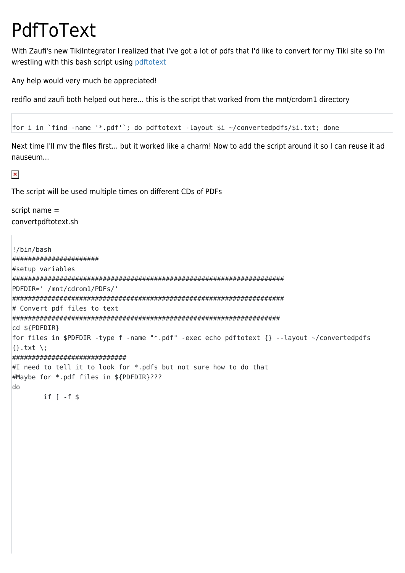## PdfToText

With Zaufi's new TikiIntegrator I realized that I've got a lot of pdfs that I'd like to convert for my Tiki site so I'm wrestling with this bash script using pdftotext

Any help would very much be appreciated!

redflo and zaufi both helped out here... this is the script that worked from the mnt/crdom1 directory

```
for i in `find -name '*.pdf'`; do pdftotext -layout $i ~/convertedpdfs/$i.txt; done
```
Next time I'll my the files first... but it worked like a charm! Now to add the script around it so I can reuse it ad nauseum...

 $\pmb{\times}$ 

The script will be used multiple times on different CDs of PDFs

script name  $=$ convertpdftotext.sh

```
!/bin/bash
#####################
#setup variables
PDFDIR=' /mnt/cdrom1/PDFs/'
# Convert pdf files to text
cd ${PDFDIR}
for files in $PDFDIR -type f -name "*.pdf" -exec echo pdftotext {} --layout ~/convertedpdfs
\{\}.txt \:
##############################
#I need to tell it to look for \ast. pdfs but not sure how to do that
#Maybe for *.pdf files in ${PDFDIR}???
do
     if [-f $
```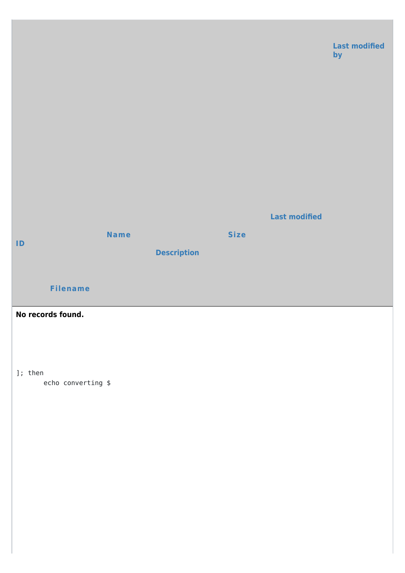

]; then

echo converting \$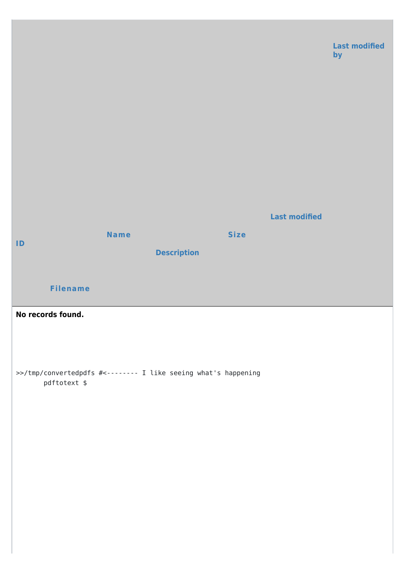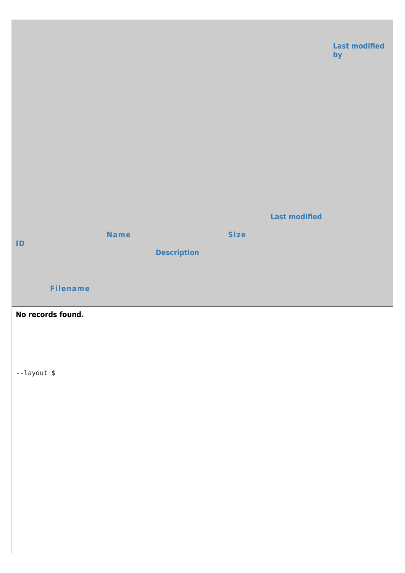

## No records found.

--layout \$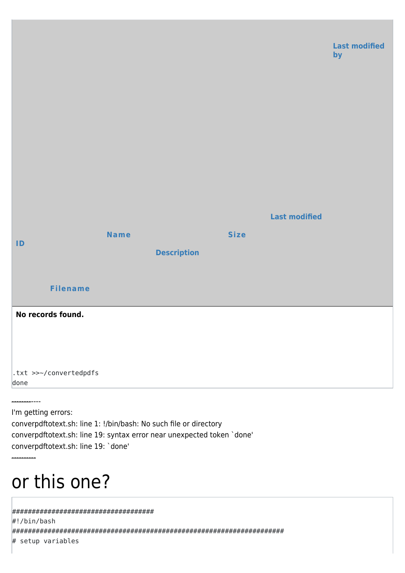

I'm getting errors:

converpdftotext.sh: line 1: !/bin/bash: No such file or directory converpdftotext.sh: line 19: syntax error near unexpected token `done' converpdftotext.sh: line 19: 'done'

## or this one?

#################################### #!/bin/bash # setup variables